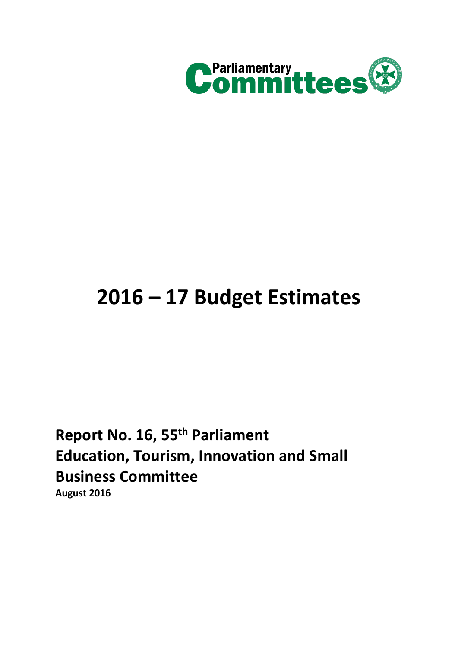

# **2016 – 17 Budget Estimates**

**Report No. 16, 55th Parliament Education, Tourism, Innovation and Small Business Committee August 2016**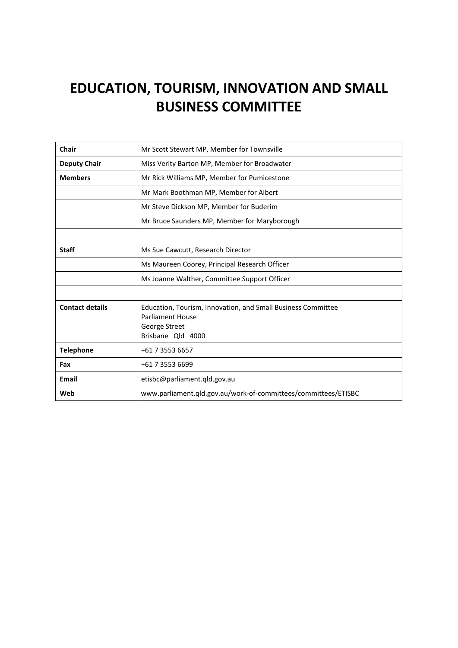# **EDUCATION, TOURISM, INNOVATION AND SMALL BUSINESS COMMITTEE**

| Chair                  | Mr Scott Stewart MP, Member for Townsville                                                                                    |  |  |
|------------------------|-------------------------------------------------------------------------------------------------------------------------------|--|--|
| <b>Deputy Chair</b>    | Miss Verity Barton MP, Member for Broadwater                                                                                  |  |  |
| <b>Members</b>         | Mr Rick Williams MP, Member for Pumicestone                                                                                   |  |  |
|                        | Mr Mark Boothman MP, Member for Albert                                                                                        |  |  |
|                        | Mr Steve Dickson MP, Member for Buderim                                                                                       |  |  |
|                        | Mr Bruce Saunders MP, Member for Maryborough                                                                                  |  |  |
|                        |                                                                                                                               |  |  |
| <b>Staff</b>           | Ms Sue Cawcutt, Research Director                                                                                             |  |  |
|                        | Ms Maureen Coorey, Principal Research Officer                                                                                 |  |  |
|                        | Ms Joanne Walther, Committee Support Officer                                                                                  |  |  |
|                        |                                                                                                                               |  |  |
| <b>Contact details</b> | Education, Tourism, Innovation, and Small Business Committee<br><b>Parliament House</b><br>George Street<br>Brisbane Qld 4000 |  |  |
| <b>Telephone</b>       | +61 7 3553 6657                                                                                                               |  |  |
| Fax                    | +61 7 3553 6699                                                                                                               |  |  |
| Email                  | etisbc@parliament.qld.gov.au                                                                                                  |  |  |
| Web                    | www.parliament.qld.gov.au/work-of-committees/committees/ETISBC                                                                |  |  |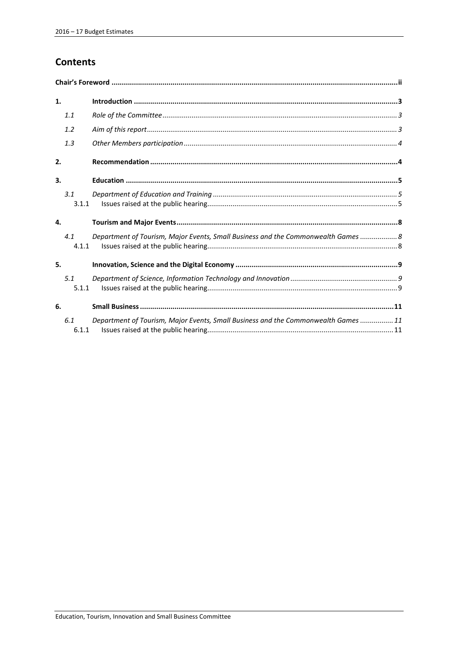# **Contents**

| 1. |              |                                                                                    |  |
|----|--------------|------------------------------------------------------------------------------------|--|
|    | 1.1          |                                                                                    |  |
|    | 1.2          |                                                                                    |  |
|    | 1.3          |                                                                                    |  |
| 2. |              |                                                                                    |  |
| 3. |              |                                                                                    |  |
|    | 3.1<br>3.1.1 |                                                                                    |  |
| 4. |              |                                                                                    |  |
|    | 4.1<br>4.1.1 | Department of Tourism, Major Events, Small Business and the Commonwealth Games  8  |  |
| 5. |              |                                                                                    |  |
|    | 5.1<br>5.1.1 |                                                                                    |  |
| 6. |              |                                                                                    |  |
|    | 6.1<br>6.1.1 | Department of Tourism, Major Events, Small Business and the Commonwealth Games  11 |  |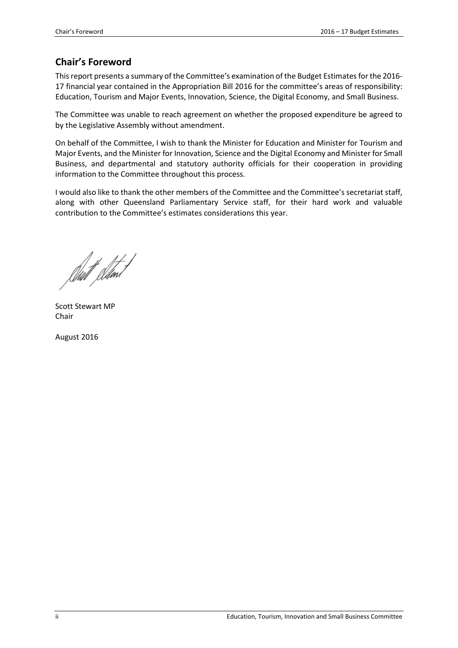# <span id="page-3-0"></span>**Chair's Foreword**

This report presents a summary of the Committee's examination of the Budget Estimates for the 2016- 17 financial year contained in the Appropriation Bill 2016 for the committee's areas of responsibility: Education, Tourism and Major Events, Innovation, Science, the Digital Economy, and Small Business.

The Committee was unable to reach agreement on whether the proposed expenditure be agreed to by the Legislative Assembly without amendment.

On behalf of the Committee, I wish to thank the Minister for Education and Minister for Tourism and Major Events, and the Minister for Innovation, Science and the Digital Economy and Minister for Small Business, and departmental and statutory authority officials for their cooperation in providing information to the Committee throughout this process.

I would also like to thank the other members of the Committee and the Committee's secretariat staff, along with other Queensland Parliamentary Service staff, for their hard work and valuable contribution to the Committee's estimates considerations this year.

Duft Stant

Scott Stewart MP Chair

August 2016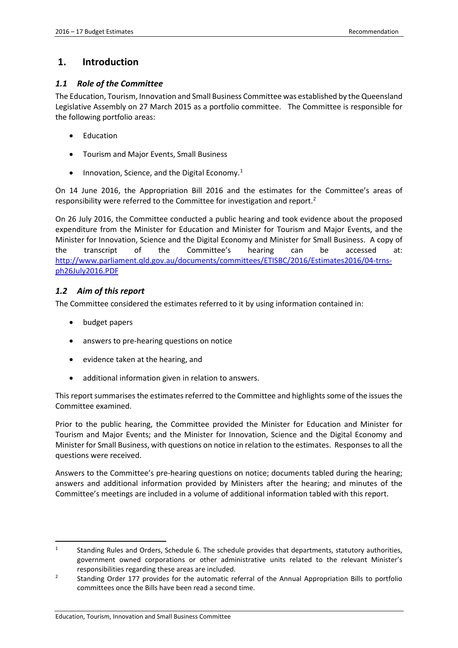### <span id="page-4-0"></span>**1. Introduction**

### <span id="page-4-1"></span>*1.1 Role of the Committee*

The Education, Tourism, Innovation and Small Business Committee was established by the Queensland Legislative Assembly on 27 March 2015 as a portfolio committee. The Committee is responsible for the following portfolio areas:

- **Education**
- Tourism and Major Events, Small Business
- Innovation, Science, and the Digital Economy.<sup>[1](#page-4-3)</sup>

On 14 June 2016, the Appropriation Bill 2016 and the estimates for the Committee's areas of responsibility were referred to the Committee for investigation and report[.2](#page-4-4)

On 26 July 2016, the Committee conducted a public hearing and took evidence about the proposed expenditure from the Minister for Education and Minister for Tourism and Major Events, and the Minister for Innovation, Science and the Digital Economy and Minister for Small Business. A copy of the transcript of the Committee's hearing can be accessed at: [http://www.parliament.qld.gov.au/documents/committees/ETISBC/2016/Estimates2016/04-trns](http://www.parliament.qld.gov.au/documents/committees/ETISBC/2016/Estimates2016/04-trns-ph26July2016.PDF)[ph26July2016.PDF](http://www.parliament.qld.gov.au/documents/committees/ETISBC/2016/Estimates2016/04-trns-ph26July2016.PDF)

### <span id="page-4-2"></span>*1.2 Aim of this report*

The Committee considered the estimates referred to it by using information contained in:

• budget papers

**.** 

- answers to pre-hearing questions on notice
- evidence taken at the hearing, and
- additional information given in relation to answers.

This report summarises the estimates referred to the Committee and highlights some of the issues the Committee examined.

Prior to the public hearing, the Committee provided the Minister for Education and Minister for Tourism and Major Events; and the Minister for Innovation, Science and the Digital Economy and Minister for Small Business, with questions on notice in relation to the estimates. Responses to all the questions were received.

Answers to the Committee's pre-hearing questions on notice; documents tabled during the hearing; answers and additional information provided by Ministers after the hearing; and minutes of the Committee's meetings are included in a volume of additional information tabled with this report.

<span id="page-4-3"></span><sup>1</sup> Standing Rules and Orders, Schedule 6. The schedule provides that departments, statutory authorities, government owned corporations or other administrative units related to the relevant Minister's responsibilities regarding these areas are included.

<span id="page-4-4"></span><sup>2</sup> Standing Order 177 provides for the automatic referral of the Annual Appropriation Bills to portfolio committees once the Bills have been read a second time.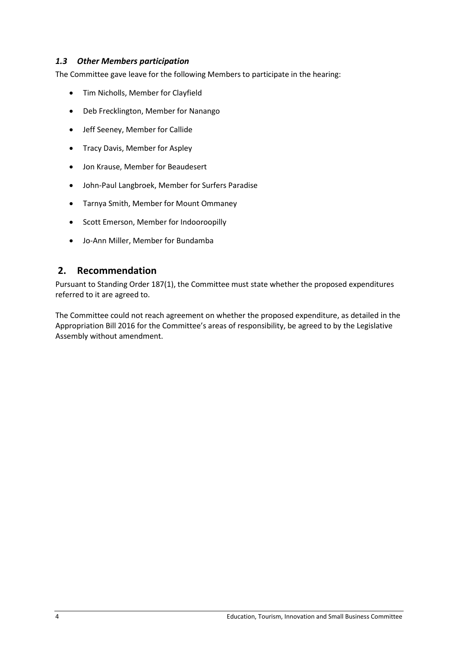### <span id="page-5-0"></span>*1.3 Other Members participation*

The Committee gave leave for the following Members to participate in the hearing:

- Tim Nicholls, Member for Clayfield
- Deb Frecklington, Member for Nanango
- Jeff Seeney, Member for Callide
- Tracy Davis, Member for Aspley
- Jon Krause, Member for Beaudesert
- John-Paul Langbroek, Member for Surfers Paradise
- Tarnya Smith, Member for Mount Ommaney
- Scott Emerson, Member for Indooroopilly
- Jo-Ann Miller, Member for Bundamba

### <span id="page-5-1"></span>**2. Recommendation**

Pursuant to Standing Order 187(1), the Committee must state whether the proposed expenditures referred to it are agreed to.

The Committee could not reach agreement on whether the proposed expenditure, as detailed in the Appropriation Bill 2016 for the Committee's areas of responsibility, be agreed to by the Legislative Assembly without amendment.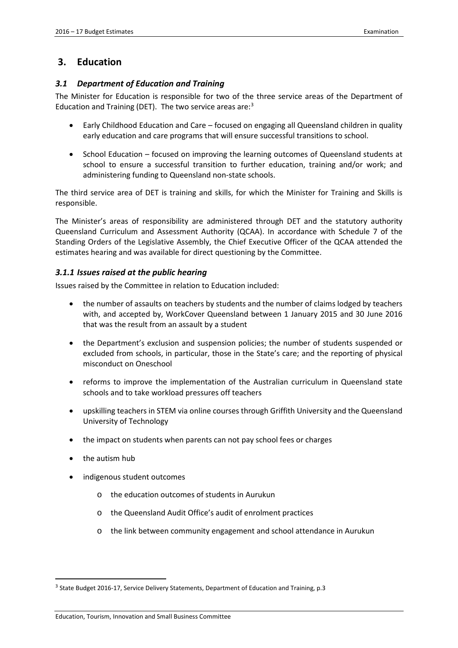### <span id="page-6-0"></span>**3. Education**

### <span id="page-6-1"></span>*3.1 Department of Education and Training*

The Minister for Education is responsible for two of the three service areas of the Department of Education and Training (DET). The two service areas are:<sup>[3](#page-6-3)</sup>

- Early Childhood Education and Care focused on engaging all Queensland children in quality early education and care programs that will ensure successful transitions to school.
- School Education focused on improving the learning outcomes of Queensland students at school to ensure a successful transition to further education, training and/or work; and administering funding to Queensland non-state schools.

The third service area of DET is training and skills, for which the Minister for Training and Skills is responsible.

The Minister's areas of responsibility are administered through DET and the statutory authority Queensland Curriculum and Assessment Authority (QCAA). In accordance with Schedule 7 of the Standing Orders of the Legislative Assembly, the Chief Executive Officer of the QCAA attended the estimates hearing and was available for direct questioning by the Committee.

### <span id="page-6-2"></span>*3.1.1 Issues raised at the public hearing*

Issues raised by the Committee in relation to Education included:

- the number of assaults on teachers by students and the number of claims lodged by teachers with, and accepted by, WorkCover Queensland between 1 January 2015 and 30 June 2016 that was the result from an assault by a student
- the Department's exclusion and suspension policies; the number of students suspended or excluded from schools, in particular, those in the State's care; and the reporting of physical misconduct on Oneschool
- reforms to improve the implementation of the Australian curriculum in Queensland state schools and to take workload pressures off teachers
- upskilling teachers in STEM via online courses through Griffith University and the Queensland University of Technology
- the impact on students when parents can not pay school fees or charges
- the autism hub

- indigenous student outcomes
	- o the education outcomes of students in Aurukun
	- o the Queensland Audit Office's audit of enrolment practices
	- o the link between community engagement and school attendance in Aurukun

<span id="page-6-3"></span><sup>&</sup>lt;sup>3</sup> State Budget 2016-17, Service Delivery Statements, Department of Education and Training, p.3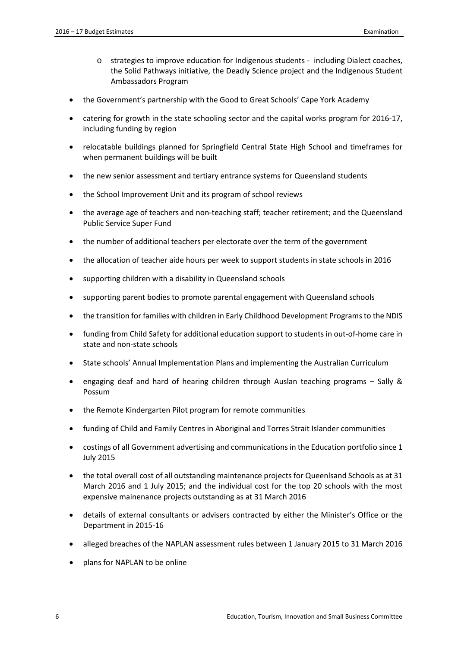- o strategies to improve education for Indigenous students including Dialect coaches, the Solid Pathways initiative, the Deadly Science project and the Indigenous Student Ambassadors Program
- the Government's partnership with the Good to Great Schools' Cape York Academy
- catering for growth in the state schooling sector and the capital works program for 2016-17, including funding by region
- relocatable buildings planned for Springfield Central State High School and timeframes for when permanent buildings will be built
- the new senior assessment and tertiary entrance systems for Queensland students
- the School Improvement Unit and its program of school reviews
- the average age of teachers and non-teaching staff; teacher retirement; and the Queensland Public Service Super Fund
- the number of additional teachers per electorate over the term of the government
- the allocation of teacher aide hours per week to support students in state schools in 2016
- supporting children with a disability in Queensland schools
- supporting parent bodies to promote parental engagement with Queensland schools
- the transition for families with children in Early Childhood Development Programs to the NDIS
- funding from Child Safety for additional education support to students in out-of-home care in state and non-state schools
- State schools' Annual Implementation Plans and implementing the Australian Curriculum
- engaging deaf and hard of hearing children through Auslan teaching programs Sally & Possum
- the Remote Kindergarten Pilot program for remote communities
- funding of Child and Family Centres in Aboriginal and Torres Strait Islander communities
- costings of all Government advertising and communications in the Education portfolio since 1 July 2015
- the total overall cost of all outstanding maintenance projects for Queenlsand Schools as at 31 March 2016 and 1 July 2015; and the individual cost for the top 20 schools with the most expensive mainenance projects outstanding as at 31 March 2016
- details of external consultants or advisers contracted by either the Minister's Office or the Department in 2015-16
- alleged breaches of the NAPLAN assessment rules between 1 January 2015 to 31 March 2016
- plans for NAPLAN to be online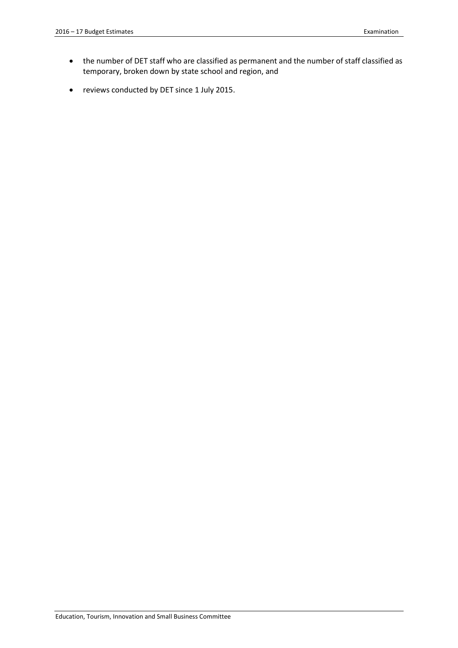- the number of DET staff who are classified as permanent and the number of staff classified as temporary, broken down by state school and region, and
- reviews conducted by DET since 1 July 2015.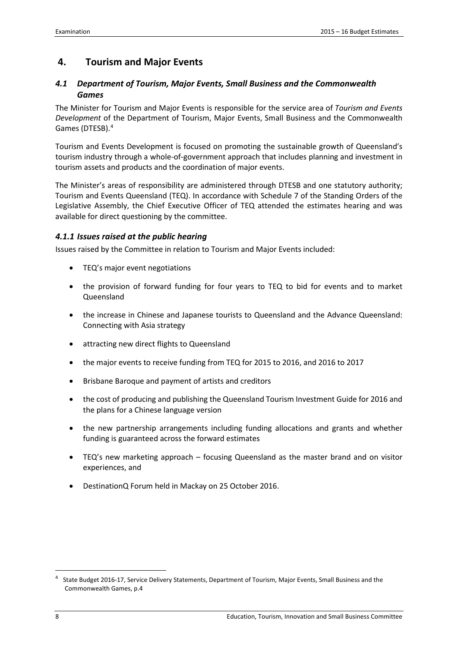# <span id="page-9-0"></span>**4. Tourism and Major Events**

### <span id="page-9-1"></span>*4.1 Department of Tourism, Major Events, Small Business and the Commonwealth Games*

The Minister for Tourism and Major Events is responsible for the service area of *Tourism and Events Development* of the Department of Tourism, Major Events, Small Business and the Commonwealth Games (DTESB).[4](#page-9-3)

Tourism and Events Development is focused on promoting the sustainable growth of Queensland's tourism industry through a whole-of-government approach that includes planning and investment in tourism assets and products and the coordination of major events.

The Minister's areas of responsibility are administered through DTESB and one statutory authority; Tourism and Events Queensland (TEQ). In accordance with Schedule 7 of the Standing Orders of the Legislative Assembly, the Chief Executive Officer of TEQ attended the estimates hearing and was available for direct questioning by the committee.

### <span id="page-9-2"></span>*4.1.1 Issues raised at the public hearing*

Issues raised by the Committee in relation to Tourism and Major Events included:

- TEQ's major event negotiations
- the provision of forward funding for four years to TEQ to bid for events and to market Queensland
- the increase in Chinese and Japanese tourists to Queensland and the Advance Queensland: Connecting with Asia strategy
- attracting new direct flights to Queensland
- the major events to receive funding from TEQ for 2015 to 2016, and 2016 to 2017
- Brisbane Baroque and payment of artists and creditors
- the cost of producing and publishing the Queensland Tourism Investment Guide for 2016 and the plans for a Chinese language version
- the new partnership arrangements including funding allocations and grants and whether funding is guaranteed across the forward estimates
- TEQ's new marketing approach focusing Queensland as the master brand and on visitor experiences, and
- DestinationQ Forum held in Mackay on 25 October 2016.

**.** 

<span id="page-9-3"></span><sup>4</sup> State Budget 2016-17, Service Delivery Statements, Department of Tourism, Major Events, Small Business and the Commonwealth Games, p.4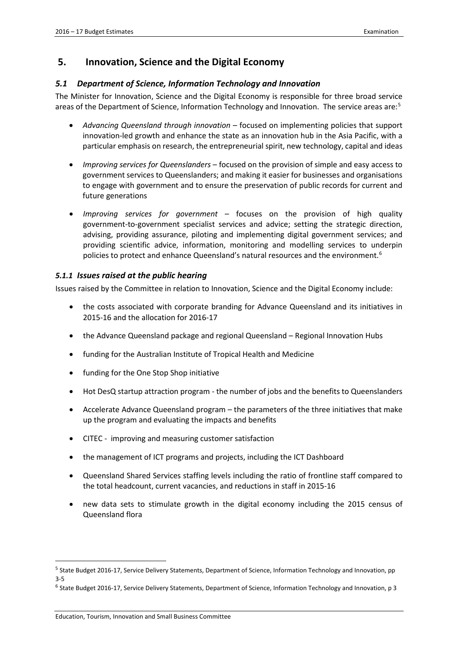### <span id="page-10-0"></span>**5. Innovation, Science and the Digital Economy**

### <span id="page-10-1"></span>*5.1 Department of Science, Information Technology and Innovation*

The Minister for Innovation, Science and the Digital Economy is responsible for three broad service areas of the Department of Science, Information Technology and Innovation. The service areas are:[5](#page-10-3)

- *Advancing Queensland through innovation* focused on implementing policies that support innovation-led growth and enhance the state as an innovation hub in the Asia Pacific, with a particular emphasis on research, the entrepreneurial spirit, new technology, capital and ideas
- *Improving services for Queenslanders* focused on the provision of simple and easy access to government services to Queenslanders; and making it easier for businesses and organisations to engage with government and to ensure the preservation of public records for current and future generations
- *Improving services for government* focuses on the provision of high quality government-to-government specialist services and advice; setting the strategic direction, advising, providing assurance, piloting and implementing digital government services; and providing scientific advice, information, monitoring and modelling services to underpin policies to protect and enhance Queensland's natural resources and the environment.<sup>[6](#page-10-4)</sup>

### <span id="page-10-2"></span>*5.1.1 Issues raised at the public hearing*

Issues raised by the Committee in relation to Innovation, Science and the Digital Economy include:

- the costs associated with corporate branding for Advance Queensland and its initiatives in 2015-16 and the allocation for 2016-17
- the Advance Queensland package and regional Queensland Regional Innovation Hubs
- funding for the Australian Institute of Tropical Health and Medicine
- funding for the One Stop Shop initiative
- Hot DesQ startup attraction program the number of jobs and the benefits to Queenslanders
- Accelerate Advance Queensland program the parameters of the three initiatives that make up the program and evaluating the impacts and benefits
- CITEC improving and measuring customer satisfaction
- the management of ICT programs and projects, including the ICT Dashboard
- Queensland Shared Services staffing levels including the ratio of frontline staff compared to the total headcount, current vacancies, and reductions in staff in 2015-16
- new data sets to stimulate growth in the digital economy including the 2015 census of Queensland flora

<span id="page-10-3"></span><sup>&</sup>lt;sup>5</sup> State Budget 2016-17, Service Delivery Statements, Department of Science, Information Technology and Innovation, pp 3-5

<span id="page-10-4"></span> $6$  State Budget 2016-17, Service Delivery Statements, Department of Science, Information Technology and Innovation, p 3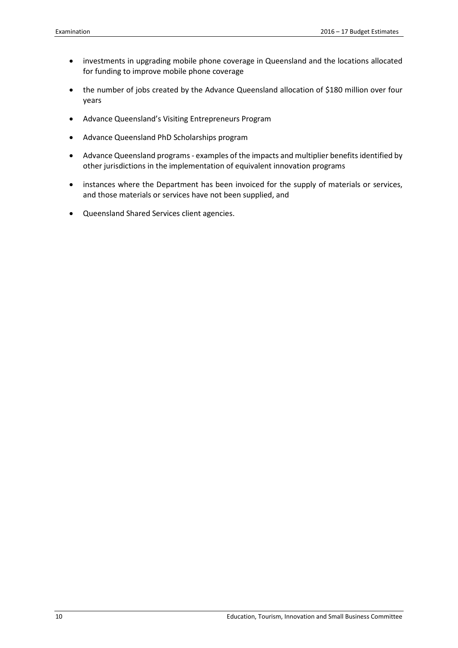- investments in upgrading mobile phone coverage in Queensland and the locations allocated for funding to improve mobile phone coverage
- the number of jobs created by the Advance Queensland allocation of \$180 million over four years
- Advance Queensland's Visiting Entrepreneurs Program
- Advance Queensland PhD Scholarships program
- Advance Queensland programs examples of the impacts and multiplier benefits identified by other jurisdictions in the implementation of equivalent innovation programs
- instances where the Department has been invoiced for the supply of materials or services, and those materials or services have not been supplied, and
- Queensland Shared Services client agencies.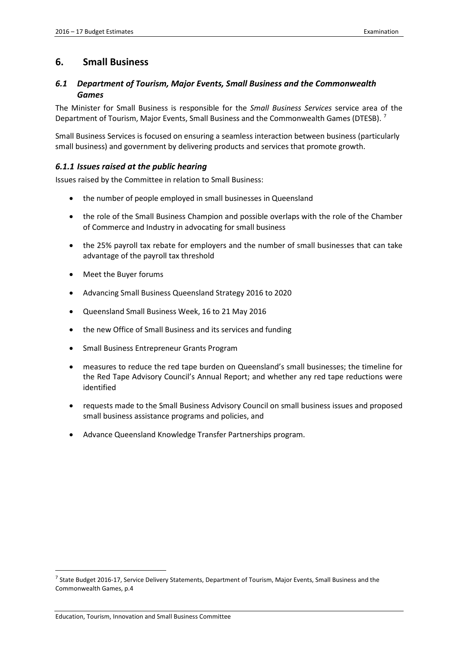### <span id="page-12-0"></span>**6. Small Business**

### <span id="page-12-1"></span>*6.1 Department of Tourism, Major Events, Small Business and the Commonwealth Games*

The Minister for Small Business is responsible for the *Small Business Services* service area of the Department of Tourism, Major Events, Small Business and the Commonwealth Games (DTESB).<sup>[7](#page-12-3)</sup>

Small Business Services is focused on ensuring a seamless interaction between business (particularly small business) and government by delivering products and services that promote growth.

### <span id="page-12-2"></span>*6.1.1 Issues raised at the public hearing*

Issues raised by the Committee in relation to Small Business:

- the number of people employed in small businesses in Queensland
- the role of the Small Business Champion and possible overlaps with the role of the Chamber of Commerce and Industry in advocating for small business
- the 25% payroll tax rebate for employers and the number of small businesses that can take advantage of the payroll tax threshold
- Meet the Buyer forums
- Advancing Small Business Queensland Strategy 2016 to 2020
- Queensland Small Business Week, 16 to 21 May 2016
- the new Office of Small Business and its services and funding
- Small Business Entrepreneur Grants Program
- measures to reduce the red tape burden on Queensland's small businesses; the timeline for the Red Tape Advisory Council's Annual Report; and whether any red tape reductions were identified
- requests made to the Small Business Advisory Council on small business issues and proposed small business assistance programs and policies, and
- Advance Queensland Knowledge Transfer Partnerships program.

**.** 

<span id="page-12-3"></span> $^7$  State Budget 2016-17, Service Delivery Statements, Department of Tourism, Major Events, Small Business and the Commonwealth Games, p.4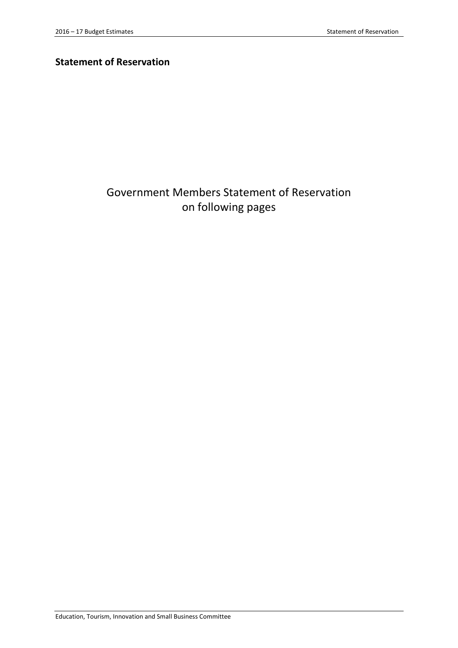# **Statement of Reservation**

# Government Members Statement of Reservation on following pages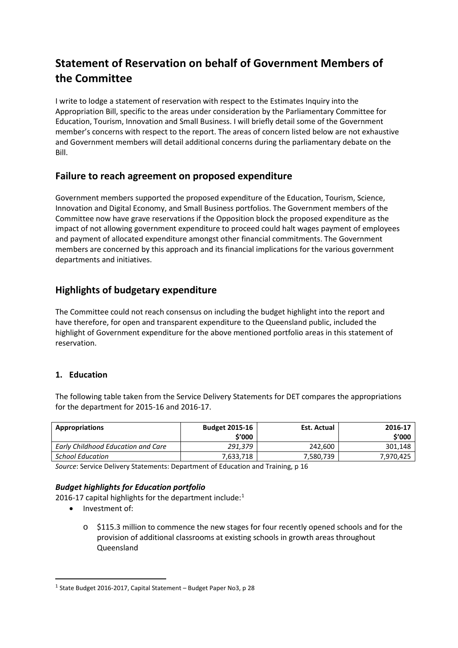# **Statement of Reservation on behalf of Government Members of the Committee**

I write to lodge a statement of reservation with respect to the Estimates Inquiry into the Appropriation Bill, specific to the areas under consideration by the Parliamentary Committee for Education, Tourism, Innovation and Small Business. I will briefly detail some of the Government member's concerns with respect to the report. The areas of concern listed below are not exhaustive and Government members will detail additional concerns during the parliamentary debate on the Bill.

# **Failure to reach agreement on proposed expenditure**

Government members supported the proposed expenditure of the Education, Tourism, Science, Innovation and Digital Economy, and Small Business portfolios. The Government members of the Committee now have grave reservations if the Opposition block the proposed expenditure as the impact of not allowing government expenditure to proceed could halt wages payment of employees and payment of allocated expenditure amongst other financial commitments. The Government members are concerned by this approach and its financial implications for the various government departments and initiatives.

# **Highlights of budgetary expenditure**

The Committee could not reach consensus on including the budget highlight into the report and have therefore, for open and transparent expenditure to the Queensland public, included the highlight of Government expenditure for the above mentioned portfolio areas in this statement of reservation.

### **1. Education**

The following table taken from the Service Delivery Statements for DET compares the appropriations for the department for 2015-16 and 2016-17.

| <b>Appropriations</b>              | <b>Budget 2015-16</b><br>\$'000 | Est. Actual | 2016-17<br>\$'000 |
|------------------------------------|---------------------------------|-------------|-------------------|
| Early Childhood Education and Care | 291.379                         | 242.600     | 301.148           |
| <b>School Education</b>            | 7.633.718                       | 7,580,739   | 7.970.425         |

*Source*: Service Delivery Statements: Department of Education and Training, p 16

### *Budget highlights for Education portfolio*

20[1](#page-15-0)6-17 capital highlights for the department include:<sup>1</sup>

• Investment of:

<u>.</u>

o \$115.3 million to commence the new stages for four recently opened schools and for the provision of additional classrooms at existing schools in growth areas throughout Queensland

<span id="page-15-0"></span> $1$  State Budget 2016-2017, Capital Statement – Budget Paper No3, p 28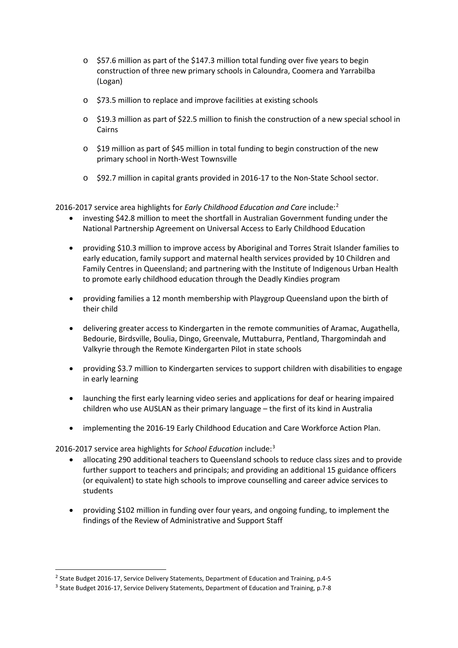- o \$57.6 million as part of the \$147.3 million total funding over five years to begin construction of three new primary schools in Caloundra, Coomera and Yarrabilba (Logan)
- o \$73.5 million to replace and improve facilities at existing schools
- o \$19.3 million as part of \$22.5 million to finish the construction of a new special school in Cairns
- $\circ$  \$19 million as part of \$45 million in total funding to begin construction of the new primary school in North-West Townsville
- o \$92.7 million in capital grants provided in 2016-17 to the Non-State School sector.

2016-2017 service area highlights for *Early Childhood Education and Care* include:[2](#page-16-0)

- investing \$42.8 million to meet the shortfall in Australian Government funding under the National Partnership Agreement on Universal Access to Early Childhood Education
- providing \$10.3 million to improve access by Aboriginal and Torres Strait Islander families to early education, family support and maternal health services provided by 10 Children and Family Centres in Queensland; and partnering with the Institute of Indigenous Urban Health to promote early childhood education through the Deadly Kindies program
- providing families a 12 month membership with Playgroup Queensland upon the birth of their child
- delivering greater access to Kindergarten in the remote communities of Aramac, Augathella, Bedourie, Birdsville, Boulia, Dingo, Greenvale, Muttaburra, Pentland, Thargomindah and Valkyrie through the Remote Kindergarten Pilot in state schools
- providing \$3.7 million to Kindergarten services to support children with disabilities to engage in early learning
- launching the first early learning video series and applications for deaf or hearing impaired children who use AUSLAN as their primary language – the first of its kind in Australia
- implementing the 2016-19 Early Childhood Education and Care Workforce Action Plan.

2016-2017 service area highlights for *School Education* include:[3](#page-16-1)

- allocating 290 additional teachers to Queensland schools to reduce class sizes and to provide further support to teachers and principals; and providing an additional 15 guidance officers (or equivalent) to state high schools to improve counselling and career advice services to students
- providing \$102 million in funding over four years, and ongoing funding, to implement the findings of the Review of Administrative and Support Staff

<span id="page-16-0"></span><sup>&</sup>lt;sup>2</sup> State Budget 2016-17, Service Delivery Statements, Department of Education and Training, p.4-5  $3$  State Budget 2016-17, Service Delivery Statements, Department of Education and Training, p.7-8

<span id="page-16-1"></span>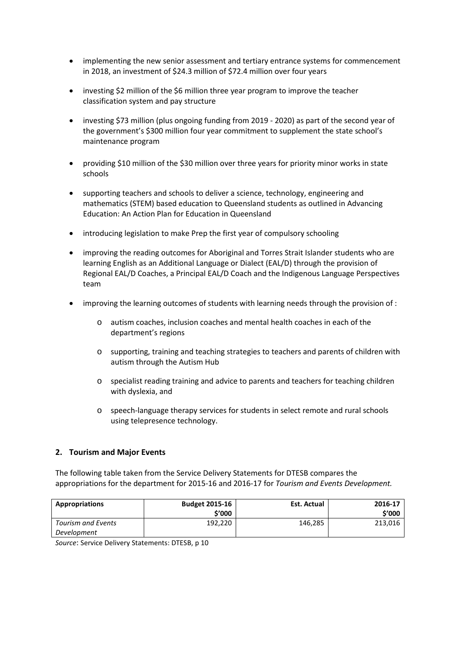- implementing the new senior assessment and tertiary entrance systems for commencement in 2018, an investment of \$24.3 million of \$72.4 million over four years
- investing \$2 million of the \$6 million three year program to improve the teacher classification system and pay structure
- investing \$73 million (plus ongoing funding from 2019 2020) as part of the second year of the government's \$300 million four year commitment to supplement the state school's maintenance program
- providing \$10 million of the \$30 million over three years for priority minor works in state schools
- supporting teachers and schools to deliver a science, technology, engineering and mathematics (STEM) based education to Queensland students as outlined in Advancing Education: An Action Plan for Education in Queensland
- introducing legislation to make Prep the first year of compulsory schooling
- improving the reading outcomes for Aboriginal and Torres Strait Islander students who are learning English as an Additional Language or Dialect (EAL/D) through the provision of Regional EAL/D Coaches, a Principal EAL/D Coach and the Indigenous Language Perspectives team
- improving the learning outcomes of students with learning needs through the provision of :
	- o autism coaches, inclusion coaches and mental health coaches in each of the department's regions
	- o supporting, training and teaching strategies to teachers and parents of children with autism through the Autism Hub
	- o specialist reading training and advice to parents and teachers for teaching children with dyslexia, and
	- o speech-language therapy services for students in select remote and rural schools using telepresence technology.

### **2. Tourism and Major Events**

The following table taken from the Service Delivery Statements for DTESB compares the appropriations for the department for 2015-16 and 2016-17 for *Tourism and Events Development.*

| Appropriations     | <b>Budget 2015-16</b><br>\$'000 | Est. Actual | 2016-17<br>\$'000 |
|--------------------|---------------------------------|-------------|-------------------|
| Tourism and Events | 192.220                         | 146,285     | 213,016           |
| Development        |                                 |             |                   |

*Source*: Service Delivery Statements: DTESB, p 10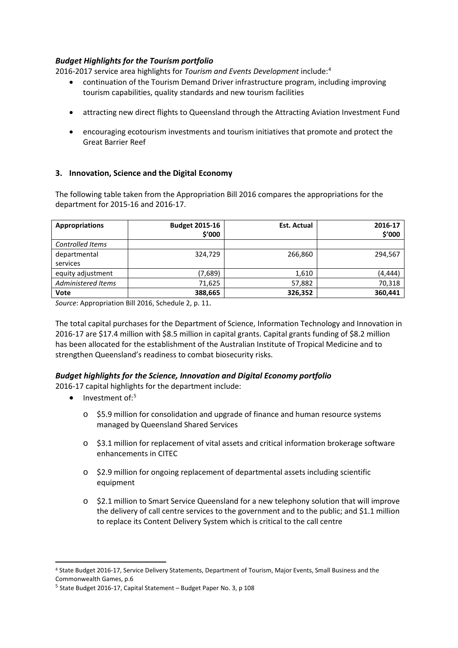### *Budget Highlights for the Tourism portfolio*

2016-2017 service area highlights for *Tourism and Events Development* include:[4](#page-18-0)

- continuation of the Tourism Demand Driver infrastructure program, including improving tourism capabilities, quality standards and new tourism facilities
- attracting new direct flights to Queensland through the Attracting Aviation Investment Fund
- encouraging ecotourism investments and tourism initiatives that promote and protect the Great Barrier Reef

### **3. Innovation, Science and the Digital Economy**

The following table taken from the Appropriation Bill 2016 compares the appropriations for the department for 2015-16 and 2016-17.

| <b>Appropriations</b>    | <b>Budget 2015-16</b><br>\$′000 | <b>Est. Actual</b> | 2016-17<br>\$'000 |
|--------------------------|---------------------------------|--------------------|-------------------|
| Controlled Items         |                                 |                    |                   |
| departmental<br>services | 324,729                         | 266,860            | 294,567           |
| equity adjustment        | (7,689)                         | 1,610              | (4, 444)          |
| Administered Items       | 71,625                          | 57,882             | 70,318            |
| Vote                     | 388,665                         | 326,352            | 360,441           |

*Source*: Appropriation Bill 2016, Schedule 2, p. 11.

The total capital purchases for the Department of Science, Information Technology and Innovation in 2016-17 are \$17.4 million with \$8.5 million in capital grants. Capital grants funding of \$8.2 million has been allocated for the establishment of the Australian Institute of Tropical Medicine and to strengthen Queensland's readiness to combat biosecurity risks.

### *Budget highlights for the Science, Innovation and Digital Economy portfolio*

2016-17 capital highlights for the department include:

 $\bullet$  Investment of:<sup>[5](#page-18-1)</sup>

- o \$5.9 million for consolidation and upgrade of finance and human resource systems managed by Queensland Shared Services
- o \$3.1 million for replacement of vital assets and critical information brokerage software enhancements in CITEC
- o \$2.9 million for ongoing replacement of departmental assets including scientific equipment
- o \$2.1 million to Smart Service Queensland for a new telephony solution that will improve the delivery of call centre services to the government and to the public; and \$1.1 million to replace its Content Delivery System which is critical to the call centre

<span id="page-18-0"></span><sup>4</sup> State Budget 2016-17, Service Delivery Statements, Department of Tourism, Major Events, Small Business and the Commonwealth Games, p.6

<span id="page-18-1"></span><sup>5</sup> State Budget 2016-17, Capital Statement – Budget Paper No. 3, p 108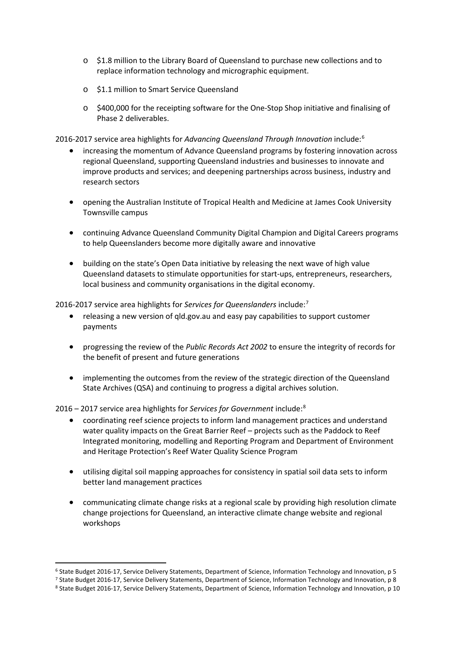- o \$1.8 million to the Library Board of Queensland to purchase new collections and to replace information technology and micrographic equipment.
- o \$1.1 million to Smart Service Queensland
- o \$400,000 for the receipting software for the One-Stop Shop initiative and finalising of Phase 2 deliverables.

2016-2017 service area highlights for *Advancing Queensland Through Innovation* include:[6](#page-19-0)

- increasing the momentum of Advance Queensland programs by fostering innovation across regional Queensland, supporting Queensland industries and businesses to innovate and improve products and services; and deepening partnerships across business, industry and research sectors
- opening the Australian Institute of Tropical Health and Medicine at James Cook University Townsville campus
- continuing Advance Queensland Community Digital Champion and Digital Careers programs to help Queenslanders become more digitally aware and innovative
- building on the state's Open Data initiative by releasing the next wave of high value Queensland datasets to stimulate opportunities for start-ups, entrepreneurs, researchers, local business and community organisations in the digital economy.

2016-2017 service area highlights for *Services for Queenslanders* include:[7](#page-19-1)

- releasing a new version of qld.gov.au and easy pay capabilities to support customer payments
- progressing the review of the *Public Records Act 2002* to ensure the integrity of records for the benefit of present and future generations
- implementing the outcomes from the review of the strategic direction of the Queensland State Archives (QSA) and continuing to progress a digital archives solution.

2016 – 2017 service area highlights for *Services for Government* include:[8](#page-19-2)

- coordinating reef science projects to inform land management practices and understand water quality impacts on the Great Barrier Reef – projects such as the Paddock to Reef Integrated monitoring, modelling and Reporting Program and Department of Environment and Heritage Protection's Reef Water Quality Science Program
- utilising digital soil mapping approaches for consistency in spatial soil data sets to inform better land management practices
- communicating climate change risks at a regional scale by providing high resolution climate change projections for Queensland, an interactive climate change website and regional workshops

<span id="page-19-0"></span><sup>&</sup>lt;sup>6</sup> State Budget 2016-17, Service Delivery Statements, Department of Science, Information Technology and Innovation, p 5<br><sup>7</sup> State Budget 2016-17, Service Delivery Statements, Department of Science, Information Technology

<span id="page-19-2"></span><span id="page-19-1"></span>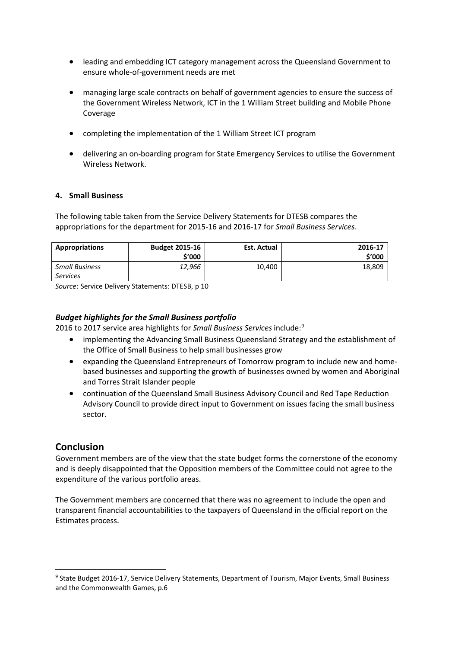- leading and embedding ICT category management across the Queensland Government to ensure whole-of-government needs are met
- managing large scale contracts on behalf of government agencies to ensure the success of the Government Wireless Network, ICT in the 1 William Street building and Mobile Phone Coverage
- completing the implementation of the 1 William Street ICT program
- delivering an on-boarding program for State Emergency Services to utilise the Government Wireless Network.

### **4. Small Business**

The following table taken from the Service Delivery Statements for DTESB compares the appropriations for the department for 2015-16 and 2016-17 for *Small Business Services*.

| Appropriations                           | <b>Budget 2015-16</b><br>\$'000 | Est. Actual | 2016-17<br>\$'000 |
|------------------------------------------|---------------------------------|-------------|-------------------|
| <b>Small Business</b><br><b>Services</b> | 12,966                          | 10,400      | 18,809            |

*Source*: Service Delivery Statements: DTESB, p 10

### *Budget highlights for the Small Business portfolio*

2016 to 2017 service area highlights for *Small Business Services* include:[9](#page-20-0)

- implementing the Advancing Small Business Queensland Strategy and the establishment of the Office of Small Business to help small businesses grow
- expanding the Queensland Entrepreneurs of Tomorrow program to include new and homebased businesses and supporting the growth of businesses owned by women and Aboriginal and Torres Strait Islander people
- continuation of the Queensland Small Business Advisory Council and Red Tape Reduction Advisory Council to provide direct input to Government on issues facing the small business sector.

### **Conclusion**

 $\overline{a}$ 

Government members are of the view that the state budget forms the cornerstone of the economy and is deeply disappointed that the Opposition members of the Committee could not agree to the expenditure of the various portfolio areas.

The Government members are concerned that there was no agreement to include the open and transparent financial accountabilities to the taxpayers of Queensland in the official report on the Estimates process.

<span id="page-20-0"></span><sup>9</sup> State Budget 2016-17, Service Delivery Statements, Department of Tourism, Major Events, Small Business and the Commonwealth Games, p.6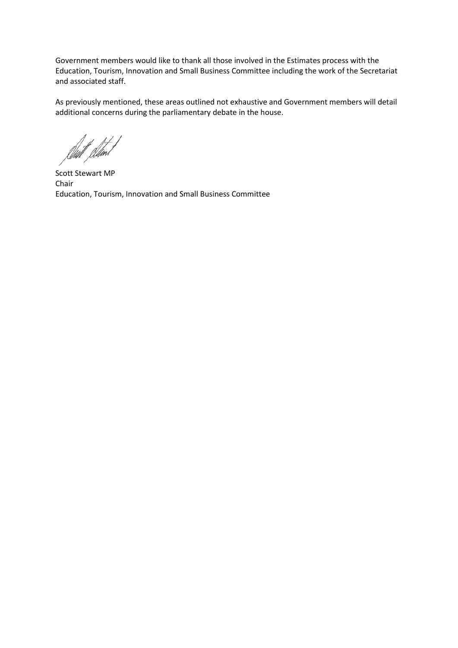Government members would like to thank all those involved in the Estimates process with the Education, Tourism, Innovation and Small Business Committee including the work of the Secretariat and associated staff.

As previously mentioned, these areas outlined not exhaustive and Government members will detail additional concerns during the parliamentary debate in the house.

Willi

Scott Stewart MP Chair Education, Tourism, Innovation and Small Business Committee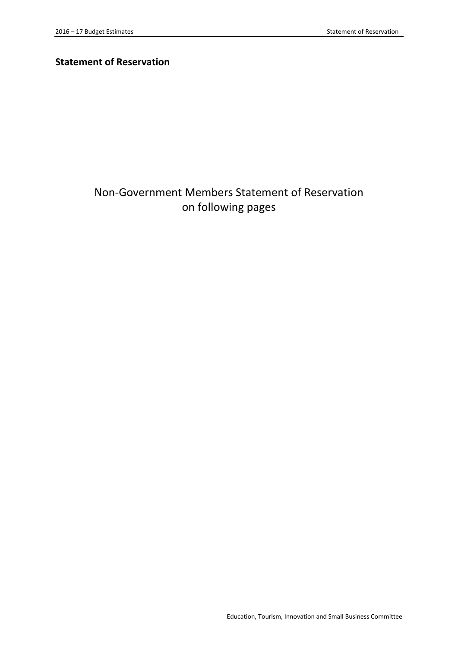# **Statement of Reservation**

# Non-Government Members Statement of Reservation on following pages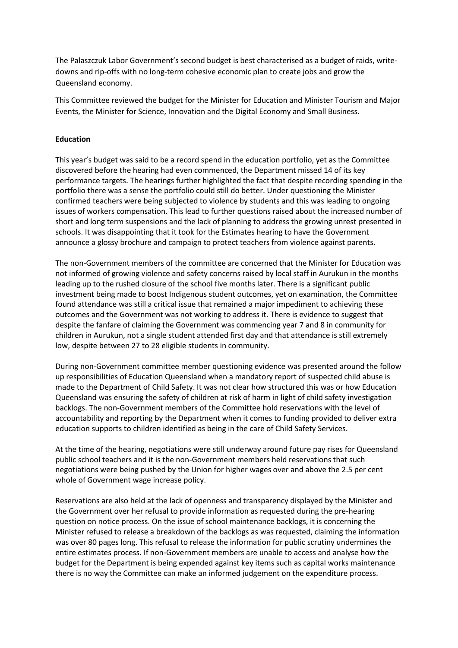The Palaszczuk Labor Government's second budget is best characterised as a budget of raids, writedowns and rip-offs with no long-term cohesive economic plan to create jobs and grow the Queensland economy.

This Committee reviewed the budget for the Minister for Education and Minister Tourism and Major Events, the Minister for Science, Innovation and the Digital Economy and Small Business.

#### **Education**

This year's budget was said to be a record spend in the education portfolio, yet as the Committee discovered before the hearing had even commenced, the Department missed 14 of its key performance targets. The hearings further highlighted the fact that despite recording spending in the portfolio there was a sense the portfolio could still do better. Under questioning the Minister confirmed teachers were being subjected to violence by students and this was leading to ongoing issues of workers compensation. This lead to further questions raised about the increased number of short and long term suspensions and the lack of planning to address the growing unrest presented in schools. It was disappointing that it took for the Estimates hearing to have the Government announce a glossy brochure and campaign to protect teachers from violence against parents.

The non-Government members of the committee are concerned that the Minister for Education was not informed of growing violence and safety concerns raised by local staff in Aurukun in the months leading up to the rushed closure of the school five months later. There is a significant public investment being made to boost Indigenous student outcomes, yet on examination, the Committee found attendance was still a critical issue that remained a major impediment to achieving these outcomes and the Government was not working to address it. There is evidence to suggest that despite the fanfare of claiming the Government was commencing year 7 and 8 in community for children in Aurukun, not a single student attended first day and that attendance is still extremely low, despite between 27 to 28 eligible students in community.

During non-Government committee member questioning evidence was presented around the follow up responsibilities of Education Queensland when a mandatory report of suspected child abuse is made to the Department of Child Safety. It was not clear how structured this was or how Education Queensland was ensuring the safety of children at risk of harm in light of child safety investigation backlogs. The non-Government members of the Committee hold reservations with the level of accountability and reporting by the Department when it comes to funding provided to deliver extra education supports to children identified as being in the care of Child Safety Services.

At the time of the hearing, negotiations were still underway around future pay rises for Queensland public school teachers and it is the non-Government members held reservations that such negotiations were being pushed by the Union for higher wages over and above the 2.5 per cent whole of Government wage increase policy.

Reservations are also held at the lack of openness and transparency displayed by the Minister and the Government over her refusal to provide information as requested during the pre-hearing question on notice process. On the issue of school maintenance backlogs, it is concerning the Minister refused to release a breakdown of the backlogs as was requested, claiming the information was over 80 pages long. This refusal to release the information for public scrutiny undermines the entire estimates process. If non-Government members are unable to access and analyse how the budget for the Department is being expended against key items such as capital works maintenance there is no way the Committee can make an informed judgement on the expenditure process.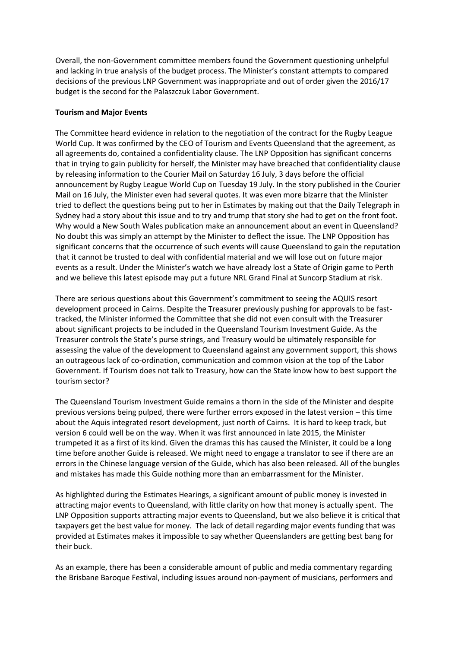Overall, the non-Government committee members found the Government questioning unhelpful and lacking in true analysis of the budget process. The Minister's constant attempts to compared decisions of the previous LNP Government was inappropriate and out of order given the 2016/17 budget is the second for the Palaszczuk Labor Government.

#### **Tourism and Major Events**

The Committee heard evidence in relation to the negotiation of the contract for the Rugby League World Cup. It was confirmed by the CEO of Tourism and Events Queensland that the agreement, as all agreements do, contained a confidentiality clause. The LNP Opposition has significant concerns that in trying to gain publicity for herself, the Minister may have breached that confidentiality clause by releasing information to the Courier Mail on Saturday 16 July, 3 days before the official announcement by Rugby League World Cup on Tuesday 19 July. In the story published in the Courier Mail on 16 July, the Minister even had several quotes. It was even more bizarre that the Minister tried to deflect the questions being put to her in Estimates by making out that the Daily Telegraph in Sydney had a story about this issue and to try and trump that story she had to get on the front foot. Why would a New South Wales publication make an announcement about an event in Queensland? No doubt this was simply an attempt by the Minister to deflect the issue. The LNP Opposition has significant concerns that the occurrence of such events will cause Queensland to gain the reputation that it cannot be trusted to deal with confidential material and we will lose out on future major events as a result. Under the Minister's watch we have already lost a State of Origin game to Perth and we believe this latest episode may put a future NRL Grand Final at Suncorp Stadium at risk.

There are serious questions about this Government's commitment to seeing the AQUIS resort development proceed in Cairns. Despite the Treasurer previously pushing for approvals to be fasttracked, the Minister informed the Committee that she did not even consult with the Treasurer about significant projects to be included in the Queensland Tourism Investment Guide. As the Treasurer controls the State's purse strings, and Treasury would be ultimately responsible for assessing the value of the development to Queensland against any government support, this shows an outrageous lack of co-ordination, communication and common vision at the top of the Labor Government. If Tourism does not talk to Treasury, how can the State know how to best support the tourism sector?

The Queensland Tourism Investment Guide remains a thorn in the side of the Minister and despite previous versions being pulped, there were further errors exposed in the latest version – this time about the Aquis integrated resort development, just north of Cairns. It is hard to keep track, but version 6 could well be on the way. When it was first announced in late 2015, the Minister trumpeted it as a first of its kind. Given the dramas this has caused the Minister, it could be a long time before another Guide is released. We might need to engage a translator to see if there are an errors in the Chinese language version of the Guide, which has also been released. All of the bungles and mistakes has made this Guide nothing more than an embarrassment for the Minister.

As highlighted during the Estimates Hearings, a significant amount of public money is invested in attracting major events to Queensland, with little clarity on how that money is actually spent. The LNP Opposition supports attracting major events to Queensland, but we also believe it is critical that taxpayers get the best value for money. The lack of detail regarding major events funding that was provided at Estimates makes it impossible to say whether Queenslanders are getting best bang for their buck.

As an example, there has been a considerable amount of public and media commentary regarding the Brisbane Baroque Festival, including issues around non-payment of musicians, performers and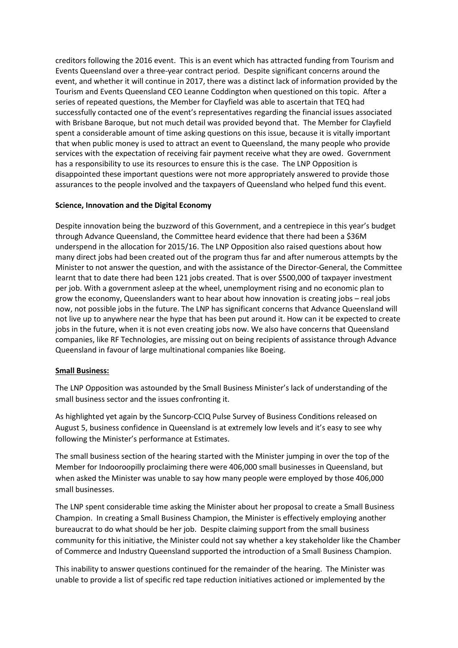creditors following the 2016 event. This is an event which has attracted funding from Tourism and Events Queensland over a three-year contract period. Despite significant concerns around the event, and whether it will continue in 2017, there was a distinct lack of information provided by the Tourism and Events Queensland CEO Leanne Coddington when questioned on this topic. After a series of repeated questions, the Member for Clayfield was able to ascertain that TEQ had successfully contacted one of the event's representatives regarding the financial issues associated with Brisbane Baroque, but not much detail was provided beyond that. The Member for Clayfield spent a considerable amount of time asking questions on this issue, because it is vitally important that when public money is used to attract an event to Queensland, the many people who provide services with the expectation of receiving fair payment receive what they are owed. Government has a responsibility to use its resources to ensure this is the case. The LNP Opposition is disappointed these important questions were not more appropriately answered to provide those assurances to the people involved and the taxpayers of Queensland who helped fund this event.

### **Science, Innovation and the Digital Economy**

Despite innovation being the buzzword of this Government, and a centrepiece in this year's budget through Advance Queensland, the Committee heard evidence that there had been a \$36M underspend in the allocation for 2015/16. The LNP Opposition also raised questions about how many direct jobs had been created out of the program thus far and after numerous attempts by the Minister to not answer the question, and with the assistance of the Director-General, the Committee learnt that to date there had been 121 jobs created. That is over \$500,000 of taxpayer investment per job. With a government asleep at the wheel, unemployment rising and no economic plan to grow the economy, Queenslanders want to hear about how innovation is creating jobs – real jobs now, not possible jobs in the future. The LNP has significant concerns that Advance Queensland will not live up to anywhere near the hype that has been put around it. How can it be expected to create jobs in the future, when it is not even creating jobs now. We also have concerns that Queensland companies, like RF Technologies, are missing out on being recipients of assistance through Advance Queensland in favour of large multinational companies like Boeing.

### **Small Business:**

The LNP Opposition was astounded by the Small Business Minister's lack of understanding of the small business sector and the issues confronting it.

As highlighted yet again by the Suncorp-CCIQ Pulse Survey of Business Conditions released on August 5, business confidence in Queensland is at extremely low levels and it's easy to see why following the Minister's performance at Estimates.

The small business section of the hearing started with the Minister jumping in over the top of the Member for Indooroopilly proclaiming there were 406,000 small businesses in Queensland, but when asked the Minister was unable to say how many people were employed by those 406,000 small businesses.

The LNP spent considerable time asking the Minister about her proposal to create a Small Business Champion. In creating a Small Business Champion, the Minister is effectively employing another bureaucrat to do what should be her job. Despite claiming support from the small business community for this initiative, the Minister could not say whether a key stakeholder like the Chamber of Commerce and Industry Queensland supported the introduction of a Small Business Champion.

This inability to answer questions continued for the remainder of the hearing. The Minister was unable to provide a list of specific red tape reduction initiatives actioned or implemented by the